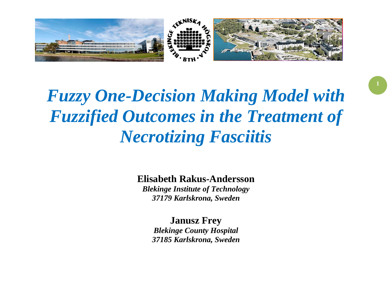

# *Fuzzy One-Decision Making Model with Fuzzified Outcomes in the Treatment of Necrotizing Fasciitis*

## **Elisabeth Rakus-Andersson**

*Blekinge Institute of Technology 37179 Karlskrona, Sweden*

**Janusz Frey** *Blekinge County Hospital 37185 Karlskrona, Sweden*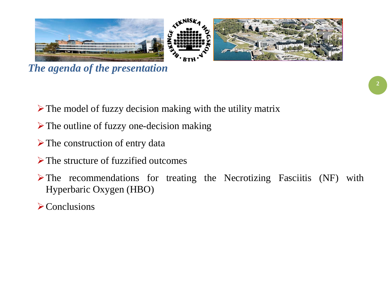

*The agenda of the presentation*

- $\triangleright$  The model of fuzzy decision making with the utility matrix
- $\triangleright$  The outline of fuzzy one-decision making
- $\triangleright$  The construction of entry data
- $\triangleright$  The structure of fuzzified outcomes
- $\triangleright$  The recommendations for treating the Necrotizing Fasciitis (NF) with Hyperbaric Oxygen (HBO)
- $\triangleright$  Conclusions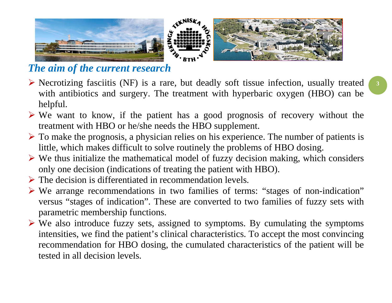

## *The aim of the current research*

- $\triangleright$  Necrotizing fasciitis (NF) is a rare, but deadly soft tissue infection, usually treated with antibiotics and surgery. The treatment with hyperbaric oxygen (HBO) can be helpful.
- $\triangleright$  We want to know, if the patient has a good prognosis of recovery without the treatment with HBO or he/she needs the HBO supplement.
- $\triangleright$  To make the prognosis, a physician relies on his experience. The number of patients is little, which makes difficult to solve routinely the problems of HBO dosing.
- $\triangleright$  We thus initialize the mathematical model of fuzzy decision making, which considers only one decision (indications of treating the patient with HBO).
- $\triangleright$  The decision is differentiated in recommendation levels.
- We arrange recommendations in two families of terms: "stages of non-indication" versus "stages of indication". These are converted to two families of fuzzy sets with parametric membership functions.
- $\triangleright$  We also introduce fuzzy sets, assigned to symptoms. By cumulating the symptoms intensities, we find the patient's clinical characteristics. To accept the most convincing recommendation for HBO dosing, the cumulated characteristics of the patient will be tested in all decision levels.

**3**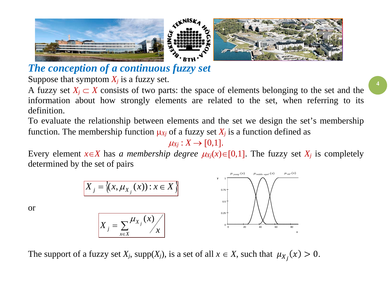

*The conception of a continuous fuzzy set*

Suppose that symptom  $X_i$  is a fuzzy set.

or

A fuzzy set  $X_j \subset X$  consists of two parts: the space of elements belonging to the set and the information about how strongly elements are related to the set, when referring to its definition.

To evaluate the relationship between elements and the set we design the set's membership function. The membership function  $\mu_{X}$  of a fuzzy set  $X_j$  is a function defined as

 $\mu_{Xi}: X \rightarrow [0,1].$ 

Every element  $x \in X$  has *a membership degree*  $\mu_{X}$  $(x) \in [0,1]$ . The fuzzy set  $X_i$  is completely determined by the set of pairs



The support of a fuzzy set  $X_j$ , supp $(X_j)$ , is a set of all  $x \in X$ , such that  $\mu_{X_j}(x) > 0$ .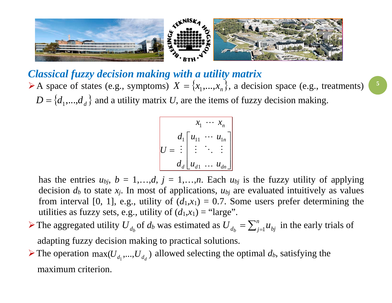

*Classical fuzzy decision making with a utility matrix* A space of states (e.g., symptoms)  $X = \{x_1,...,x_n\}$ , a decision space (e.g., treatments)  $D = \{d_1, ..., d_d\}$  and a utility matrix *U*, are the items of fuzzy decision making.

$$
U = \begin{bmatrix} x_1 & \cdots & x_n \\ d_1 \begin{bmatrix} u_{11} & \cdots & u_{1n} \\ \vdots & \ddots & \vdots \\ d_d \end{bmatrix} \\ u_{d1} & \cdots & u_{dn} \end{bmatrix}
$$

has the entries  $u_{bj}$ ,  $b = 1,...,d$ ,  $j = 1,...,n$ . Each  $u_{bj}$  is the fuzzy utility of applying decision  $d_b$  to state  $x_j$ . In most of applications,  $u_{bj}$  are evaluated intuitively as values from interval [0, 1], e.g., utility of  $(d_1,x_1) = 0.7$ . Some users prefer determining the utilities as fuzzy sets, e.g., utility of  $(d_1, x_1) =$  "large".

- ≻ The aggregated utility  $U_{d_b}$  of  $d_b$  was estimated as  $U_{d_b} = \sum_{j=1}^{n} u_{bj}$  in the early trials of adapting fuzzy decision making to practical solutions.
- The operation  $\max(U_{d_1},...,U_{d_d})$  allowed selecting the optimal  $d_b$ , satisfying the maximum criterion.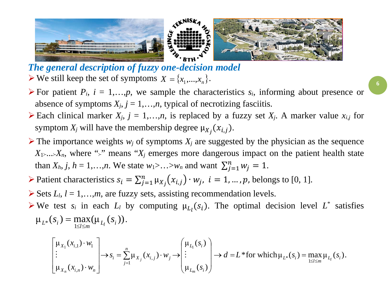

*The general description of fuzzy one-decision model*  $\triangleright$  We still keep the set of symptoms  $X = \{x_1, \ldots, x_n\}$ .

- For patient  $P_i$ ,  $i = 1,...,p$ , we sample the characteristics  $s_i$ , informing about presence or absence of symptoms  $X_j$ ,  $j = 1,...,n$ , typical of necrotizing fasciitis.
- Each clinical marker  $X_j$ ,  $j = 1,...,n$ , is replaced by a fuzzy set  $X_j$ . A marker value  $x_{i,j}$  for symptom  $X_j$  will have the membership degree  $\mu_{X_j}(x_{i,j}).$
- $\triangleright$  The importance weights  $w_i$  of symptoms  $X_i$  are suggested by the physician as the sequence  $X_1$ .... $X_n$ , where ">" means " $X_j$  emerges more dangerous impact on the patient health state than  $X_h$ ,  $j$ ,  $h = 1,...,n$ . We state  $w_1 > ... > w_n$  and want  $\sum_{j=1}^n w_j = 1$ .
- Patient characteristics  $s_i = \sum_{j=1}^n \mu_{X_j}(x_{i,j}) \cdot w_j$ ,  $i = 1, ..., p$ , belongs to [0, 1].
- $\triangleright$  Sets  $L_l$ ,  $l = 1,...,m$ , are fuzzy sets, assisting recommendation levels.
- $\triangleright$  We test  $s_i$  in each  $L_i$  by computing  $\mu_{L_i}(s_i)$ . The optimal decision level  $L^*$  satisfies  $\mu_{L^*}(s_i) = \max(\mu_{L_i}(s_i))$  $L^*(S_i) = \max_{1 \leq l \leq m} (\mu_{L_l}(S_i))$  $= max(\mu_{L_i}(s_i)).$

$$
\begin{bmatrix} \mu_{X_1}(x_{i,1}) \cdot w_1 \\ \vdots \\ \mu_{X_n}(x_{i,n}) \cdot w_n \end{bmatrix} \to s_i = \sum_{j=1}^n \mu_{X_j}(x_{i,j}) \cdot w_j \to \begin{pmatrix} \mu_{L_1}(s_i) \\ \vdots \\ \mu_{L_m}(s_i) \end{pmatrix} \to d = L^* \text{for which } \mu_{L^*}(s_i) = \max_{1 \leq l \leq m} \mu_{L_l}(s_i).
$$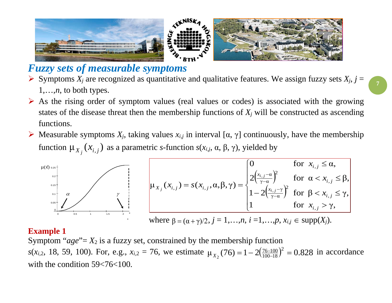

## *Fuzzy sets of measurable symptoms*

- $\triangleright$  Symptoms *X<sub>j</sub>* are recognized as quantitative and qualitative features. We assign fuzzy sets *X<sub>j</sub>*, *j* = 1,…,*n*, to both types.
- $\triangleright$  As the rising order of symptom values (real values or codes) is associated with the growing states of the disease threat then the membership functions of  $X_i$  will be constructed as ascending functions.
- $\triangleright$  Measurable symptoms  $X_i$ , taking values  $x_{i,j}$  in interval [α, γ] continuously, have the membership function  $\mu_{X_j}(x_{i,j})$  as a parametric *s*-function *s*(*x<sub>i,j</sub>*, α, β, γ), yielded by



#### **Example 1**

Symptom " $age$ "=  $X_2$  is a fuzzy set, constrained by the membership function *s*(*x<sub>i,2</sub>*, 18, 59, 100). For, e.g.,  $x_{i,2} = 76$ , we estimate  $\mu_{X_2}(76) = 1 - 2\left(\frac{76-100}{100-18}\right)^2 = 0.828$  $\chi_2(76) = 1 - 2(\frac{76-100}{100-18})^2 = 0.828$  in accordance with the condition 59<76<100.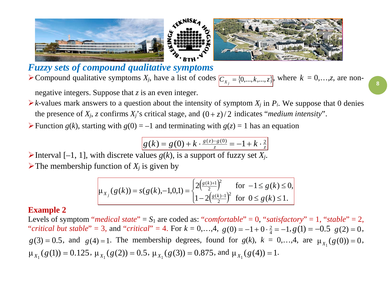

*Fuzzy sets of compound qualitative symptoms*  $\triangleright$  Compound qualitative symptoms  $X_j$ , have a list of codes  $\overline{C_{X_j} = \{0, ..., k, ..., z\}}$ , where  $k = 0, ..., z$ , are non-

negative integers. Suppose that *z* is an even integer.

- $\triangleright$  *k*-values mark answers to a question about the intensity of symptom  $X_i$  in  $P_i$ . We suppose that 0 denies the presence of  $X_i$ , *z* confirms  $X_i$ 's critical stage, and  $(0 + z)/2$  indicates "*medium intensity*".
- Function  $g(k)$ , starting with  $g(0) = -1$  and terminating with  $g(z) = 1$  has an equation

$$
g(k) = g(0) + k \cdot \frac{g(z) - g(0)}{z} = -1 + k \cdot \frac{2}{z}
$$

Interval  $[-1, 1]$ , with discrete values  $g(k)$ , is a support of fuzzy set  $X_i$ .  $\triangleright$  The membership function of  $X_i$  is given by

$$
\mu_{X_j}(g(k)) = s(g(k), -1, 0, 1) = \begin{cases} 2\left(\frac{g(k)+1}{2}\right)^2 & \text{for } -1 \le g(k) \le 0, \\ 1 - 2\left(\frac{g(k)-1}{2}\right)^2 & \text{for } 0 \le g(k) \le 1. \end{cases}
$$

#### **Example 2**

Levels of symptom "*medical state*" =  $S_1$  are coded as: "*comfortable*" = 0, "*satisfactory*" = 1, "*stable*" = 2, "*critical but stable*" = 3, and "*critical*" = 4. For  $k = 0,...,4$ ,  $g(0) = -1 + 0 \cdot \frac{2}{4} = -1, g(1) = -0.5$   $g(2) = 0$ ,  $g(3) = 0.5$ , and  $g(4) = 1$ . The membership degrees, found for  $g(k)$ ,  $k = 0,...,4$ , are  $\mu_{X_1}(g(0)) = 0$ ,  $\mu_{X_1}(g(1)) = 0.125$ ,  $\mu_{X_1}(g(2)) = 0.5$ ,  $\mu_{X_1}(g(3)) = 0.875$ , and  $\mu_{X_1}(g(4)) = 1$ .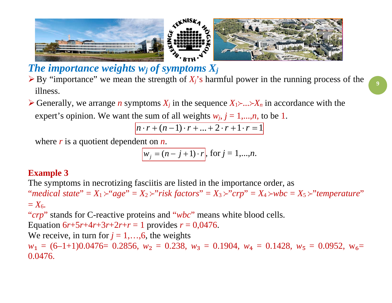

*The importance weights wj of symptoms Xj*

- $\triangleright$  By "importance" we mean the strength of  $X_i$ 's harmful power in the running process of the illness.
- $\triangleright$  Generally, we arrange *n* symptoms  $X_i$  in the sequence  $X_1 \rightarrow \ldots \rightarrow X_n$  in accordance with the expert's opinion. We want the sum of all weights  $w_j$ ,  $j = 1,...,n$ , to be 1.

$$
n \cdot r + (n-1) \cdot r + \ldots + 2 \cdot r + 1 \cdot r = 1
$$

where *r* is a quotient dependent on *n*.

 $w_j = (n - \overline{j+1}) \cdot r$ , for  $j = 1,...,n$ .

### **Example 3**

The symptoms in necrotizing fasciitis are listed in the importance order, as "*medical state*" =  $X_1 \rightarrow "age" = X_2 \rightarrow "risk factors" = X_3 \rightarrow "crp" = X_4 \rightarrow wbc = X_5 \rightarrow "temperature"$  $= X_6$ .

"*crp*" stands for C-reactive proteins and "*wbc*" means white blood cells.

Equation  $6r+5r+4r+3r+2r+r=1$  provides  $r = 0.0476$ .

We receive, in turn for  $j = 1, \ldots, 6$ , the weights

 $w_1 = (6-1+1)0.0476= 0.2856$ ,  $w_2 = 0.238$ ,  $w_3 = 0.1904$ ,  $w_4 = 0.1428$ ,  $w_5 = 0.0952$ ,  $w_6 =$ 0.0476.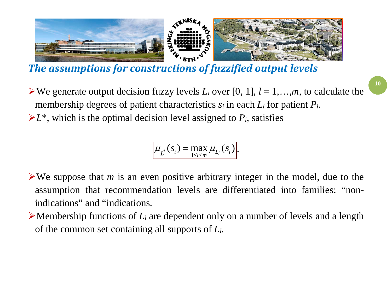

*The assumptions for constructions of fuzzified output levels*

 $\triangleright$  We generate output decision fuzzy levels  $L_l$  over [0, 1],  $l = 1,...,m$ , to calculate the membership degrees of patient characteristics *si* in each *Ll* for patient *Pi*.  $\geq L^*$ , which is the optimal decision level assigned to  $P_i$ , satisfies

> $(s_i)$  = max  $\mu_{L_i}(s_i)$  $\mu_{L^*}(s_i) = \max_{1 \leq l \leq m} \mu_{L_l}(s_i).$

We suppose that *m* is an even positive arbitrary integer in the model, due to the assumption that recommendation levels are differentiated into families: "nonindications" and "indications.

 $\triangleright$  Membership functions of  $L_l$  are dependent only on a number of levels and a length of the common set containing all supports of *Ll*.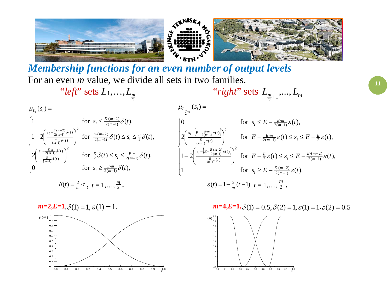

*Membership functions for an even number of output levels* For an even *m* value, we divide all sets in two families.

 "*left*" sets *L*1,…, 2 *Lm*  $'$  *right*" sets  $L_{\frac{m}{2}+1},..., L_m$  $\mathbf{I}$  $\overline{ }$  $\mathbf{I}$  $\overline{\mathcal{L}}$  $\mathbf{I}$  $\mathbf{I}$  $\mathbf{I}$ ┤  $\left\lceil \right\rceil$ ≥  $\left(\frac{s_i - \frac{E}{2(m-1)}\delta(t)}{\frac{E}{(m-1)}\delta(t)}\right)^2$  for  $\frac{E}{2}\delta(t) \leq s_i \leq$  $\setminus$ ſ  $\left(\frac{s_i-\frac{E(m-2)}{2(m-1)}\delta(t)}{\frac{E}{(m-1)}\delta(t)}\right)^2$  for  $\frac{E\cdot(m-2)}{2(m-1)}\delta(t) \leq s_i \leq$  $\setminus$  $-2$  $\leq \frac{E \cdot (m-)}{2(m-)}$  $\mu_{L_{t}}(s_{i}) =$ − ⋅ −  $-\frac{E_m}{2(m-1)}\delta(t)$  for  $E \delta(t) < \epsilon < E$ −  $-\frac{E\cdot(m-2)}{2(m-1)}\delta(t)$   $\uparrow$ 1 for  $s_i \leq \frac{E \cdot (m-2)}{2(m-1)} \delta(t)$ , − ·*m*<br>n− − −  $·$   $(m-$ 0 for  $s_i \geq \frac{E \cdot m}{2(m-1)} \delta(t)$ ,  $2\left| \frac{f^{(t)}(x,y)}{E^{(t)}} \right|$  for  $\frac{E}{2}\delta(t) \leq s_i \leq \frac{E \cdot m}{2(m-1)}\delta(t)$ ,  $1-2\left|\frac{F_t-2(m-1)+F_{\infty}}{E_s} \right|$  for  $\frac{E \cdot (m-2)}{2(m-1)} \delta(t) \leq s_i \leq \frac{E}{2} \delta(t)$ ,  $2(m-1)$  $2\mathcal{O}(l) = \frac{3}{l} = 2(m-1)$ 2  $(t)$  $(t)$  $2(m-1)$   $O(V) = 3i - 2$  $(m-2)$ 2  $(t)$  $(t)$  $s_i \leq \frac{E \cdot (m-2)}{2(m-1)} \delta(t)$  $(m-1)$  $2(m-1)$  $(m-1)$  $2(m-1)$  $(m-2)$  $s_i \geq \frac{E \cdot m}{2(m-1)} \delta(t)$  $t \leq s_i \leq \frac{E \cdot m}{2(m-1)} \delta(t)$  $t \leq s_i \leq \frac{E}{2} \delta(t)$ *m E m i m E m i E t*  $s_i = \frac{E \cdot m}{2(m+1)} \delta(t)$ *E*  $m-1$ <sup>*v*</sup>*<sup><i>j*</sup> $\geq$ *s<sub>i</sub>*  $E \cdot (m)$ *t*  $s_i = \frac{E(m-2)}{2(m-1)} \delta(t)$ *E m*  $\sum_{i=1}^{E \cdot (m-2)} \delta$ *m E*  $i = \frac{E \cdot m}{2(m-1)}$ *m E*  $i - \frac{E \cdot (m)}{2(m)}$ δ  $\delta(t) \leq s \leq \frac{E \cdot m}{2(1-\lambda)} \delta$  $\delta(t) \leq s \leq \frac{E}{3} \delta$ δ δ δ δ  $\left( E-\frac{E\cdot m}{2\epsilon} \varepsilon(t) \right)$  $\left( E-\frac{E\cdot (m-2)}{2(m-1)}\varepsilon(t)\right)$  $\overline{ }$  $\overline{\phantom{a}}$  $\overline{a}$  $\overline{\mathcal{L}}$  $\overline{ }$  $\overline{a}$  $\overline{\phantom{a}}$ ┤  $\int$  $\geq E \int$  for  $E - \frac{E}{2} \varepsilon(t) \leq s_i \leq E \left(\frac{s_i-\left(E-\frac{E\cdot(m-2)}{2(m-1)}\varepsilon(t)\right)}{E-c(t)}\right)$  $\setminus$  $-2$  $\left(\frac{s_i-\left(E-\frac{E-m}{2(m-1)}\varepsilon(t)\right)}{\frac{E}{(m-1)}\varepsilon(t)}\right)^2$  for  $E-\frac{E\cdot m}{2(m-1)}\varepsilon(t) \leq s_i \leq E$  $\setminus$ ſ 0 for  $s_i \leq E - \frac{E \cdot m}{2(m-1)} \varepsilon(t)$ ,  $(s_i) =$ −  $\cdot$ (m-−  $-\left(E-\frac{E\cdot(m-2)}{2(m-1)}\varepsilon(t)\right)$   $\left\{C\cdot E\cdot E\cdot E\cdot\left(A\right)\leq \varepsilon \leq E\cdot E\cdot\left(m-2\right)\right\}$ −  $-\left(E-\frac{E_m}{2(m-1)}\varepsilon(t)\right)\bigg)^2$  for  $F=-E$ − − −  $\cdot$   $(m-$ − −<br>n− 1 for  $s_i \geq E - \frac{E \cdot (m-2)}{2(m-1)} \varepsilon(t)$ ,  $1-2\left|\frac{r_1-r_2(m-1)}{E_{\sigma}(t)}\right|$  for  $E-\frac{E}{2}\varepsilon(t)\leq s_i\leq E-\frac{E_{\sigma}(m-2)}{2(m-1)}\varepsilon(t)$ ,  $2\left| \frac{2\left(\frac{F}{E} - 2(m-1)\right)}{E} \right|$  for  $E - \frac{E \cdot m}{2(m-1)} \varepsilon(t) \leq s_i \leq E - \frac{E}{2} \varepsilon(t)$ ,  $2(m-1)$  $(m-2)$  $2(m-1)$  $(m-2)$ 2 2  $(t)$  $(t)$ 2( 1) 2 2  $(t)$  $(t)$  $2(m-1)$ 1  $2(m-1)$  $(m-2)$  $(m-1)$  $2(m-1)$ 2  $s_i \geq E - \frac{E \cdot (m-2)}{2(m-1)} \varepsilon(t)$  $E - \frac{E}{2} \mathcal{E}(t) \leq s_i \leq E - \frac{E \cdot (m-2)}{2(m-1)} \mathcal{E}(t)$  $E - \frac{E \cdot m}{2(m-1)} \mathcal{E}(t) \leq s_i \leq E - \frac{E}{2} \mathcal{E}(t)$  $\mu_{L_{\frac{m}{2}+t}}(s_i)$ *m E m i m*  $E \cdot (m)$ *i E t*  $s_i - E - \frac{E \cdot (m-2)}{2(m-1)} \varepsilon(t)$ *E m i E m t*  $s_i - E - \frac{E \cdot m}{2(m-1)} \varepsilon(t)$  $i = L$  2(*m m E*  $i - E - \frac{E \cdot (m)}{2(m)}$ *m E*  $i - E - \frac{E \cdot m}{2(m - 1)}$ ε  $\varepsilon(t) \leq s \leq L - \frac{\varepsilon}{\varepsilon} \varepsilon$  $\mathcal{E}(t) \leq \mathcal{S}_i \leq \mathcal{L} - \frac{1}{2}\mathcal{E}$ ε ε ε ε  $\delta(t) = \frac{2}{m} \cdot t$ ,  $t = 1, \ldots, \frac{m}{2}$  $\varepsilon(t) = 1 - \frac{2}{m}(t-1), t = 1, \ldots, \frac{m}{2}$ .



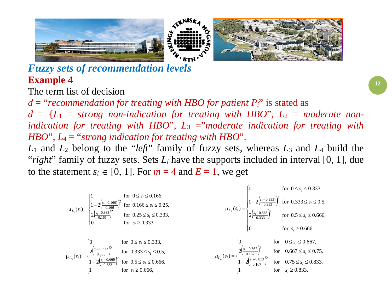

## *Fuzzy sets of recommendation levels* **Example 4**

The term list of decision

*d* = "*recommendation for treating with HBO for patient Pi*" is stated as  $d = \{L_1 = \text{strong non-indication}$  for treating with HBO",  $L_2 = \text{moderate}$  non*indication for treating with HBO*", *L*<sup>3</sup> ="*moderate indication for treating with HBO*", *L*<sup>4</sup> = "*strong indication for treating with HBO*".

*L*<sup>1</sup> and *L*<sup>2</sup> belong to the "*left*" family of fuzzy sets, whereas *L*<sup>3</sup> and *L*<sup>4</sup> build the "*right*" family of fuzzy sets. Sets  $L_l$  have the supports included in interval [0, 1], due to the statement  $s_i \in [0, 1]$ . For  $m = 4$  and  $E = 1$ , we get

 $\mathbf{r}$ 

$$
\mu_{L_{1}}(s_{i}) = \begin{cases}\n1 & \text{for } 0 \le s_{i} \le 0.166, \\
1 - 2\left(\frac{s_{i} - 0.166}{0.166}\right)^{2}\n\end{cases}
$$
\nfor  $0.166 \le s_{i} \le 0.25$ , \\

$$
\mu_{L_{2}}(s_{i}) = \begin{cases}\n2\left(\frac{s_{i} - 0.333}{0.166}\right)^{2}\n\end{cases}
$$
\nfor  $0.25 \le s_{i} \le 0.333$ , \\
for  $s_{i} \ge 0.333$ , \\
for  $s_{i} \ge 0.333$ , \\
for  $0.5 \le s_{i} \le 0.333$ , \\
for  $0.333 \le s_{i} \le 0.5$ , \\

$$
\mu_{L_{3}}(s_{i}) = \begin{cases}\n0 & \text{for } 0 \le s_{i} \le 0.25, \\
2\left(\frac{s_{i} - 0.333}{0.333}\right)^{2}\n\end{cases}
$$
\nfor  $0.5 \le s_{i} \le 0.333$ , \\
for  $0.333 \le s_{i} \le 0.5$ , \\

$$
\mu_{L_{3}}(s_{i}) = \begin{cases}\n0 & \text{for } 0 \le s_{i} \le 0.666, \\
1 - 2\left(\frac{s_{i} - 0.666}{0.333}\right)^{2}\n\end{cases}
$$
\nfor  $0.667 \le s_{i} \le 0.75$ , \\

$$
\mu_{L_{4}}(s_{i}) = \begin{cases}\n0 & \text{for } 0 \le s_{i} \le 0.667, \\
2\left(\frac{s_{i} - 0.667}{0.167}\right)^{2}\n\end{cases}
$$
\nfor  $0.667 \le s_{i} \le 0.75$ , \\

$$
\mu_{L_{4}}(s_{i}) = \begin{cases}\n0 & \text{for } 0.667 \le s_{i} \le 0.75, \\
1 - 2\left(\frac{s_{i} - 0.833}{0.167}\right)^{2}\n\end{cases}
$$
\nfor  $0.75 \le s_{i} \le 0.83$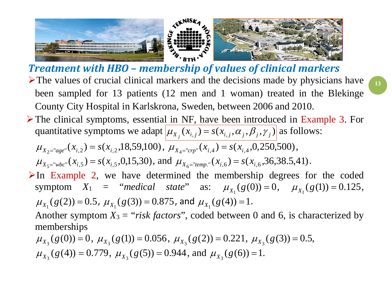

- *Treatment with HBO – membership of values of clinical markers*  $\triangleright$  The values of crucial clinical markers and the decisions made by physicians have been sampled for 13 patients (12 men and 1 woman) treated in the Blekinge County City Hospital in Karlskrona, Sweden, between 2006 and 2010.
- The clinical symptoms, essential in NF, have been introduced in Example 3. For quantitative symptoms we adapt  $\mu_{X_j}(x_{i,j}) = s(x_{i,j}, \alpha_j, \beta_j, \gamma_j)$  as follows:

$$
\mu_{X_2 = "age"}(x_{i,2}) = s(x_{i,2}, 18, 59, 100), \mu_{X_4 = "cmp"}(x_{i,4}) = s(x_{i,4}, 0, 250, 500),
$$
  

$$
\mu_{X_5 = "wbc"}(x_{i,5}) = s(x_{i,5}, 0, 15, 30), \text{ and } \mu_{X_6 = "temp."}(x_{i,6}) = s(x_{i,6}, 36, 38.5, 41).
$$

 $\triangleright$  In Example 2, we have determined the membership degrees for the coded symptom  $X_1$  = "*medical state*" as:  $\mu_{X_1}(g(0)) = 0$ ,  $\mu_{X_1}(g(1)) = 0.125$ ,  $\mu_{X_1}(g(2)) = 0.5$ ,  $\mu_{X_1}(g(3)) = 0.875$ , and  $\mu_{X_1}(g(4)) = 1$ .

Another symptom  $X_3 =$  "*risk factors*", coded between 0 and 6, is characterized by memberships

$$
\mu_{X_3}(g(0)) = 0
$$
,  $\mu_{X_3}(g(1)) = 0.056$ ,  $\mu_{X_3}(g(2)) = 0.221$ ,  $\mu_{X_3}(g(3)) = 0.5$ ,  
\n $\mu_{X_3}(g(4)) = 0.779$ ,  $\mu_{X_3}(g(5)) = 0.944$ , and  $\mu_{X_3}(g(6)) = 1$ .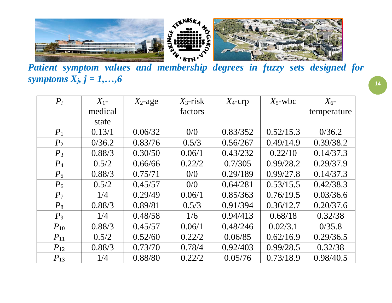

*Patient symptom values and membership degrees in fuzzy sets designed for symptoms Xj, j = 1,…,6*

| $P_i$    | $X_{1}$ - | $X_2$ -age | $X_3$ -risk | $X_4$ -crp | $X_5$ -wbc | $X_{6}$ -   |
|----------|-----------|------------|-------------|------------|------------|-------------|
|          | medical   |            | factors     |            |            | temperature |
|          | state     |            |             |            |            |             |
| $P_1$    | 0.13/1    | 0.06/32    | 0/0         | 0.83/352   | 0.52/15.3  | 0/36.2      |
| $P_2$    | 0/36.2    | 0.83/76    | 0.5/3       | 0.56/267   | 0.49/14.9  | 0.39/38.2   |
| $P_3$    | 0.88/3    | 0.30/50    | 0.06/1      | 0.43/232   | 0.22/10    | 0.14/37.3   |
| $P_4$    | 0.5/2     | 0.66/66    | 0.22/2      | 0.7/305    | 0.99/28.2  | 0.29/37.9   |
| $P_5$    | 0.88/3    | 0.75/71    | 0/0         | 0.29/189   | 0.99/27.8  | 0.14/37.3   |
| $P_6$    | 0.5/2     | 0.45/57    | 0/0         | 0.64/281   | 0.53/15.5  | 0.42/38.3   |
| $P_7$    | 1/4       | 0.29/49    | 0.06/1      | 0.85/363   | 0.76/19.5  | 0.03/36.6   |
| $P_8$    | 0.88/3    | 0.89/81    | 0.5/3       | 0.91/394   | 0.36/12.7  | 0.20/37.6   |
| $P_9$    | 1/4       | 0.48/58    | 1/6         | 0.94/413   | 0.68/18    | 0.32/38     |
| $P_{10}$ | 0.88/3    | 0.45/57    | 0.06/1      | 0.48/246   | 0.02/3.1   | 0/35.8      |
| $P_{11}$ | 0.5/2     | 0.52/60    | 0.22/2      | 0.06/85    | 0.62/16.9  | 0.29/36.5   |
| $P_{12}$ | 0.88/3    | 0.73/70    | 0.78/4      | 0.92/403   | 0.99/28.5  | 0.32/38     |
| $P_{13}$ | 1/4       | 0.88/80    | 0.22/2      | 0.05/76    | 0.73/18.9  | 0.98/40.5   |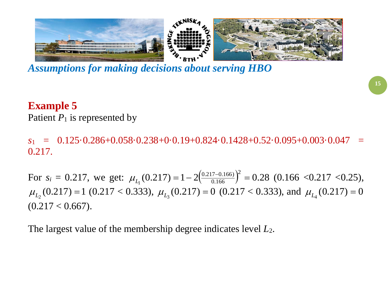

*Assumptions for making decisions about serving HBO*

## **Example 5**

Patient  $P_1$  is represented by

 $s_1 = 0.125 \cdot 0.286 + 0.058 \cdot 0.238 + 0.019 + 0.824 \cdot 0.1428 + 0.52 \cdot 0.095 + 0.003 \cdot 0.047$ 0.217.

For  $s_i = 0.217$ , we get:  $\mu_{L_1}(0.217) = 1 - 2 \left( \frac{0.217 - 0.166}{0.166} \right)^2 = 0.28$  $0.217 - 0.166$  $\mu_{L_1}(0.217) = 1 - 2 \left( \frac{0.217 - 0.166}{0.166} \right)^2 = 0.28$  (0.166 < 0.217 < 0.25),  $\mu_{L_2}(0.217) = 1$  (0.217 < 0.333),  $\mu_{L_3}(0.217) = 0$  (0.217 < 0.333), and  $\mu_{L_4}(0.217) = 0$  $(0.217 < 0.667).$ 

The largest value of the membership degree indicates level *L*2.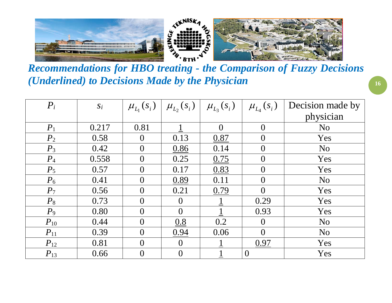

*Recommendations for HBO treating - the Comparison of Fuzzy Decisions (Underlined) to Decisions Made by the Physician*

| $P_i$    | Si    |                | $\mu_{L_1}(s_i)   \mu_{L_2}(s_i)   \mu_{L_3}(s_i)$ |          | $\mu_{L_4}(s_i)$ | Decision made by |
|----------|-------|----------------|----------------------------------------------------|----------|------------------|------------------|
|          |       |                |                                                    |          |                  | physician        |
| $P_1$    | 0.217 | 0.81           |                                                    | $\Omega$ | $\theta$         | N <sub>o</sub>   |
| $P_2$    | 0.58  | $\theta$       | 0.13                                               | 0.87     | $\overline{0}$   | Yes              |
| $P_3$    | 0.42  | $\overline{0}$ | 0.86                                               | 0.14     | $\overline{0}$   | N <sub>o</sub>   |
| $P_4$    | 0.558 | $\theta$       | 0.25                                               | 0.75     | $\theta$         | Yes              |
| $P_5$    | 0.57  | $\theta$       | 0.17                                               | 0.83     | $\overline{0}$   | Yes              |
| $P_6$    | 0.41  | $\overline{0}$ | 0.89                                               | 0.11     | $\overline{0}$   | N <sub>o</sub>   |
| $P_7$    | 0.56  | $\theta$       | 0.21                                               | 0.79     | $\theta$         | Yes              |
| $P_8$    | 0.73  | $\overline{0}$ | $\overline{0}$                                     |          | 0.29             | Yes              |
| $P_9$    | 0.80  | $\Omega$       | $\theta$                                           |          | 0.93             | Yes              |
| $P_{10}$ | 0.44  | $\theta$       | 0.8                                                | 0.2      | $\overline{0}$   | N <sub>o</sub>   |
| $P_{11}$ | 0.39  | $\theta$       | 0.94                                               | 0.06     | $\theta$         | N <sub>o</sub>   |
| $P_{12}$ | 0.81  | $\theta$       | $\overline{0}$                                     |          | 0.97             | Yes              |
| $P_{13}$ | 0.66  | $\theta$       | $\overline{0}$                                     |          | $\overline{0}$   | Yes              |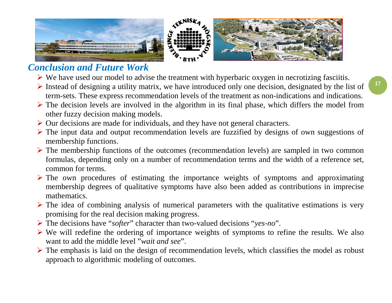

## *Conclusion and Future Work*

- $\triangleright$  We have used our model to advise the treatment with hyperbaric oxygen in necrotizing fasciitis.
- $\triangleright$  Instead of designing a utility matrix, we have introduced only one decision, designated by the list of term-sets. These express recommendation levels of the treatment as non-indications and indications.
- $\triangleright$  The decision levels are involved in the algorithm in its final phase, which differs the model from other fuzzy decision making models.
- $\triangleright$  Our decisions are made for individuals, and they have not general characters.
- $\triangleright$  The input data and output recommendation levels are fuzzified by designs of own suggestions of membership functions.
- $\triangleright$  The membership functions of the outcomes (recommendation levels) are sampled in two common formulas, depending only on a number of recommendation terms and the width of a reference set, common for terms.
- $\triangleright$  The own procedures of estimating the importance weights of symptoms and approximating membership degrees of qualitative symptoms have also been added as contributions in imprecise mathematics.
- $\triangleright$  The idea of combining analysis of numerical parameters with the qualitative estimations is very promising for the real decision making progress.
- The decisions have "*softer*" character than two-valued decisions "*yes-no*".
- $\triangleright$  We will redefine the ordering of importance weights of symptoms to refine the results. We also want to add the middle level "*wait and see*".
- $\triangleright$  The emphasis is laid on the design of recommendation levels, which classifies the model as robust approach to algorithmic modeling of outcomes.